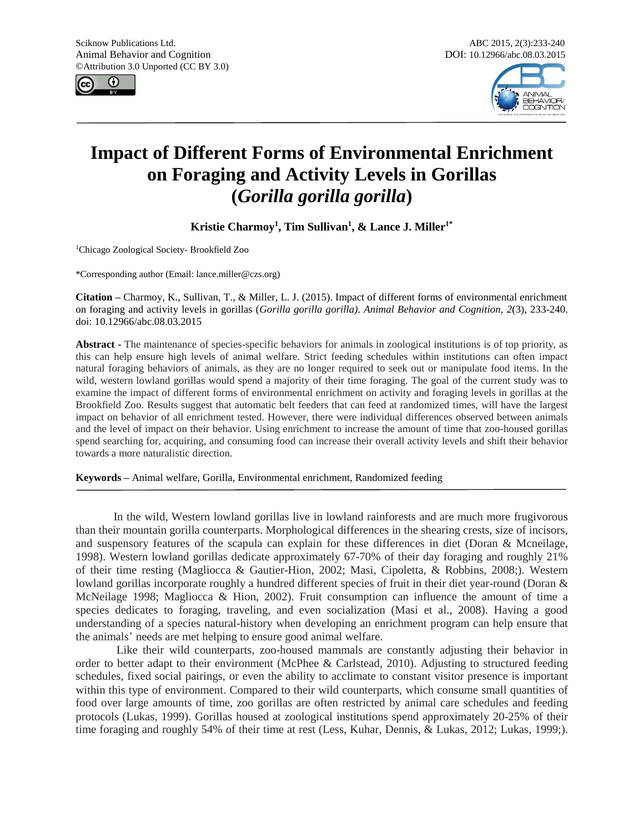



# **Impact of Different Forms of Environmental Enrichment on Foraging and Activity Levels in Gorillas (***Gorilla gorilla gorilla***)**

**Kristie Charmoy<sup>1</sup> , Tim Sullivan<sup>1</sup> , & Lance J. Miller1\***

<sup>1</sup>Chicago Zoological Society- Brookfield Zoo

\*Corresponding author (Email[: lance.miller@czs.org\)](mailto:Christina.Alligood@disney.com)

**Citation –** Charmoy, K., Sullivan, T., & Miller, L. J. (2015). Impact of different forms of environmental enrichment on foraging and activity levels in gorillas (*Gorilla gorilla gorilla)*. *Animal Behavior and Cognition, 2*(3), 233-240. doi: 10.12966/abc.08.03.2015

**Abstract -** The maintenance of species-specific behaviors for animals in zoological institutions is of top priority, as this can help ensure high levels of animal welfare. Strict feeding schedules within institutions can often impact natural foraging behaviors of animals, as they are no longer required to seek out or manipulate food items. In the wild, western lowland gorillas would spend a majority of their time foraging. The goal of the current study was to examine the impact of different forms of environmental enrichment on activity and foraging levels in gorillas at the Brookfield Zoo. Results suggest that automatic belt feeders that can feed at randomized times, will have the largest impact on behavior of all enrichment tested. However, there were individual differences observed between animals and the level of impact on their behavior. Using enrichment to increase the amount of time that zoo-housed gorillas spend searching for, acquiring, and consuming food can increase their overall activity levels and shift their behavior towards a more naturalistic direction.

**Keywords –** Animal welfare, Gorilla, Environmental enrichment, Randomized feeding

In the wild, Western lowland gorillas live in lowland rainforests and are much more frugivorous than their mountain gorilla counterparts. Morphological differences in the shearing crests, size of incisors, and suspensory features of the scapula can explain for these differences in diet (Doran & Mcneilage, 1998). Western lowland gorillas dedicate approximately 67-70% of their day foraging and roughly 21% of their time resting (Magliocca & Gautier-Hion, 2002; Masi, Cipoletta, & Robbins, 2008;). Western lowland gorillas incorporate roughly a hundred different species of fruit in their diet year-round (Doran & McNeilage 1998; Magliocca & Hion, 2002). Fruit consumption can influence the amount of time a species dedicates to foraging, traveling, and even socialization (Masi et al., 2008). Having a good understanding of a species natural-history when developing an enrichment program can help ensure that the animals' needs are met helping to ensure good animal welfare.

Like their wild counterparts, zoo-housed mammals are constantly adjusting their behavior in order to better adapt to their environment (McPhee & Carlstead, 2010). Adjusting to structured feeding schedules, fixed social pairings, or even the ability to acclimate to constant visitor presence is important within this type of environment. Compared to their wild counterparts, which consume small quantities of food over large amounts of time, zoo gorillas are often restricted by animal care schedules and feeding protocols (Lukas, 1999). Gorillas housed at zoological institutions spend approximately 20-25% of their time foraging and roughly 54% of their time at rest (Less, Kuhar, Dennis, & Lukas, 2012; Lukas, 1999;).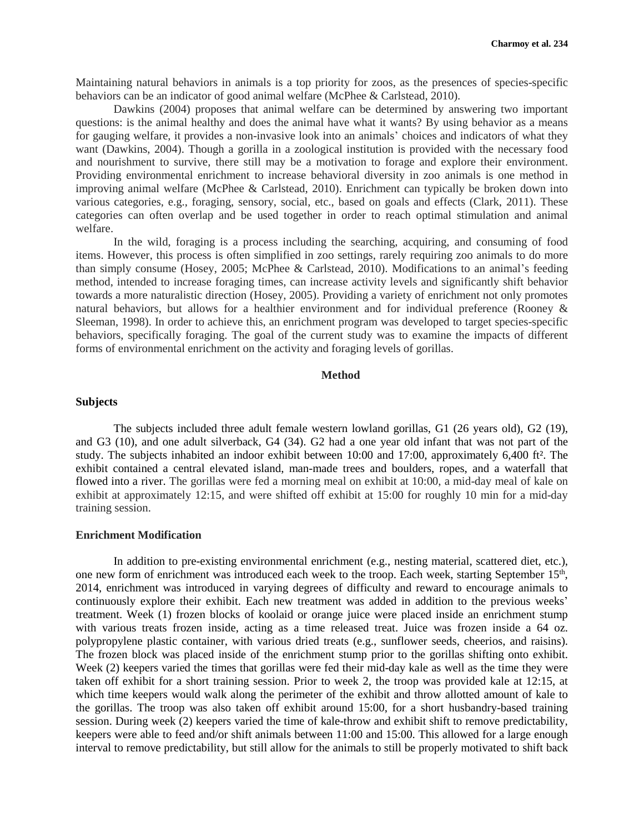Maintaining natural behaviors in animals is a top priority for zoos, as the presences of species-specific behaviors can be an indicator of good animal welfare (McPhee & Carlstead, 2010).

Dawkins (2004) proposes that animal welfare can be determined by answering two important questions: is the animal healthy and does the animal have what it wants? By using behavior as a means for gauging welfare, it provides a non-invasive look into an animals' choices and indicators of what they want (Dawkins, 2004). Though a gorilla in a zoological institution is provided with the necessary food and nourishment to survive, there still may be a motivation to forage and explore their environment. Providing environmental enrichment to increase behavioral diversity in zoo animals is one method in improving animal welfare (McPhee & Carlstead, 2010). Enrichment can typically be broken down into various categories, e.g., foraging, sensory, social, etc., based on goals and effects (Clark, 2011). These categories can often overlap and be used together in order to reach optimal stimulation and animal welfare.

In the wild, foraging is a process including the searching, acquiring, and consuming of food items. However, this process is often simplified in zoo settings, rarely requiring zoo animals to do more than simply consume (Hosey, 2005; McPhee & Carlstead, 2010). Modifications to an animal's feeding method, intended to increase foraging times, can increase activity levels and significantly shift behavior towards a more naturalistic direction (Hosey, 2005). Providing a variety of enrichment not only promotes natural behaviors, but allows for a healthier environment and for individual preference (Rooney & Sleeman, 1998). In order to achieve this, an enrichment program was developed to target species-specific behaviors, specifically foraging. The goal of the current study was to examine the impacts of different forms of environmental enrichment on the activity and foraging levels of gorillas.

# **Method**

## **Subjects**

The subjects included three adult female western lowland gorillas, G1 (26 years old), G2 (19), and G3 (10), and one adult silverback, G4 (34). G2 had a one year old infant that was not part of the study. The subjects inhabited an indoor exhibit between 10:00 and 17:00, approximately 6,400 ft². The exhibit contained a central elevated island, man-made trees and boulders, ropes, and a waterfall that flowed into a river. The gorillas were fed a morning meal on exhibit at 10:00, a mid-day meal of kale on exhibit at approximately 12:15, and were shifted off exhibit at 15:00 for roughly 10 min for a mid-day training session.

# **Enrichment Modification**

In addition to pre-existing environmental enrichment (e.g., nesting material, scattered diet, etc.), one new form of enrichment was introduced each week to the troop. Each week, starting September 15<sup>th</sup>, 2014, enrichment was introduced in varying degrees of difficulty and reward to encourage animals to continuously explore their exhibit. Each new treatment was added in addition to the previous weeks' treatment. Week (1) frozen blocks of koolaid or orange juice were placed inside an enrichment stump with various treats frozen inside, acting as a time released treat. Juice was frozen inside a 64 oz. polypropylene plastic container, with various dried treats (e.g., sunflower seeds, cheerios, and raisins). The frozen block was placed inside of the enrichment stump prior to the gorillas shifting onto exhibit. Week (2) keepers varied the times that gorillas were fed their mid-day kale as well as the time they were taken off exhibit for a short training session. Prior to week 2, the troop was provided kale at 12:15, at which time keepers would walk along the perimeter of the exhibit and throw allotted amount of kale to the gorillas. The troop was also taken off exhibit around 15:00, for a short husbandry-based training session. During week (2) keepers varied the time of kale-throw and exhibit shift to remove predictability, keepers were able to feed and/or shift animals between 11:00 and 15:00. This allowed for a large enough interval to remove predictability, but still allow for the animals to still be properly motivated to shift back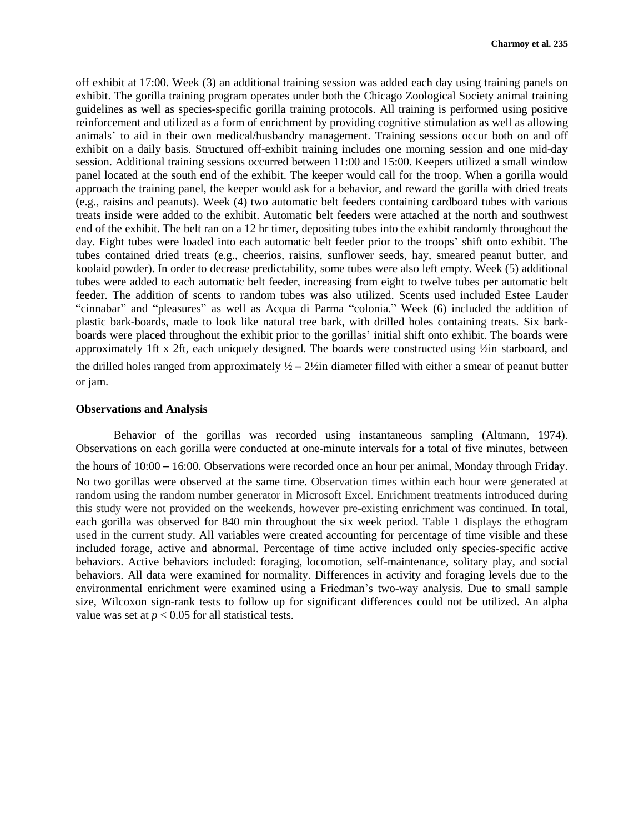off exhibit at 17:00. Week (3) an additional training session was added each day using training panels on exhibit. The gorilla training program operates under both the Chicago Zoological Society animal training guidelines as well as species-specific gorilla training protocols. All training is performed using positive reinforcement and utilized as a form of enrichment by providing cognitive stimulation as well as allowing animals' to aid in their own medical/husbandry management. Training sessions occur both on and off exhibit on a daily basis. Structured off-exhibit training includes one morning session and one mid-day session. Additional training sessions occurred between 11:00 and 15:00. Keepers utilized a small window panel located at the south end of the exhibit. The keeper would call for the troop. When a gorilla would approach the training panel, the keeper would ask for a behavior, and reward the gorilla with dried treats (e.g., raisins and peanuts). Week (4) two automatic belt feeders containing cardboard tubes with various treats inside were added to the exhibit. Automatic belt feeders were attached at the north and southwest end of the exhibit. The belt ran on a 12 hr timer, depositing tubes into the exhibit randomly throughout the day. Eight tubes were loaded into each automatic belt feeder prior to the troops' shift onto exhibit. The tubes contained dried treats (e.g., cheerios, raisins, sunflower seeds, hay, smeared peanut butter, and koolaid powder). In order to decrease predictability, some tubes were also left empty. Week (5) additional tubes were added to each automatic belt feeder, increasing from eight to twelve tubes per automatic belt feeder. The addition of scents to random tubes was also utilized. Scents used included Estee Lauder "cinnabar" and "pleasures" as well as Acqua di Parma "colonia." Week (6) included the addition of plastic bark-boards, made to look like natural tree bark, with drilled holes containing treats. Six barkboards were placed throughout the exhibit prior to the gorillas' initial shift onto exhibit. The boards were approximately 1ft x 2ft, each uniquely designed. The boards were constructed using ½in starboard, and the drilled holes ranged from approximately  $\frac{1}{2} - \frac{2}{2}$  diameter filled with either a smear of peanut butter or jam.

## **Observations and Analysis**

Behavior of the gorillas was recorded using instantaneous sampling (Altmann, 1974). Observations on each gorilla were conducted at one-minute intervals for a total of five minutes, between the hours of 10:00 – 16:00. Observations were recorded once an hour per animal, Monday through Friday. No two gorillas were observed at the same time. Observation times within each hour were generated at random using the random number generator in Microsoft Excel. Enrichment treatments introduced during this study were not provided on the weekends, however pre-existing enrichment was continued. In total, each gorilla was observed for 840 min throughout the six week period. Table 1 displays the ethogram used in the current study. All variables were created accounting for percentage of time visible and these included forage, active and abnormal. Percentage of time active included only species-specific active behaviors. Active behaviors included: foraging, locomotion, self-maintenance, solitary play, and social behaviors. All data were examined for normality. Differences in activity and foraging levels due to the environmental enrichment were examined using a Friedman's two-way analysis. Due to small sample size, Wilcoxon sign-rank tests to follow up for significant differences could not be utilized. An alpha value was set at  $p < 0.05$  for all statistical tests.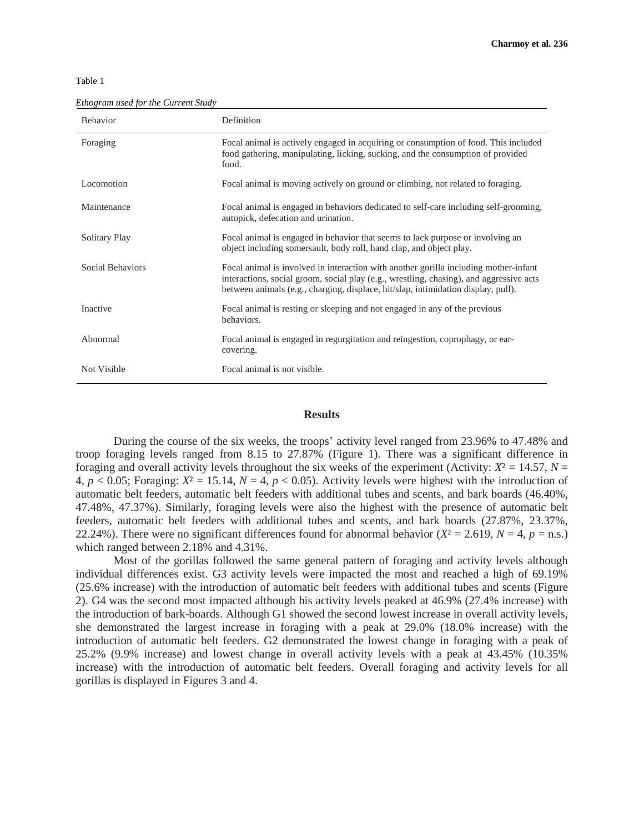| ×<br>۰, | v<br>M.<br>۰, |  |
|---------|---------------|--|

*Ethogram used for the Current Study*

| <b>Behavior</b>  | Definition                                                                                                                                                                                                                                                           |
|------------------|----------------------------------------------------------------------------------------------------------------------------------------------------------------------------------------------------------------------------------------------------------------------|
| Foraging         | Focal animal is actively engaged in acquiring or consumption of food. This included<br>food gathering, manipulating, licking, sucking, and the consumption of provided<br>food.                                                                                      |
| Locomotion       | Focal animal is moving actively on ground or climbing, not related to foraging.                                                                                                                                                                                      |
| Maintenance      | Focal animal is engaged in behaviors dedicated to self-care including self-grooming,<br>autopick, defecation and urination.                                                                                                                                          |
| Solitary Play    | Focal animal is engaged in behavior that seems to lack purpose or involving an<br>object including somersault, body roll, hand clap, and object play.                                                                                                                |
| Social Behaviors | Focal animal is involved in interaction with another gorilla including mother-infant<br>interactions, social groom, social play (e.g., wrestling, chasing), and aggressive acts<br>between animals (e.g., charging, displace, hit/slap, intimidation display, pull). |
| Inactive         | Focal animal is resting or sleeping and not engaged in any of the previous<br>behaviors.                                                                                                                                                                             |
| Abnormal         | Focal animal is engaged in regurgitation and reingestion, coprophagy, or ear-<br>covering.                                                                                                                                                                           |
| Not Visible      | Focal animal is not visible.                                                                                                                                                                                                                                         |

### **Results**

During the course of the six weeks, the troops' activity level ranged from 23.96% to 47.48% and troop foraging levels ranged from 8.15 to 27.87% (Figure 1). There was a significant difference in foraging and overall activity levels throughout the six weeks of the experiment (Activity:  $X^2 = 14.57$ ,  $N =$ 4,  $p < 0.05$ ; Foraging:  $X^2 = 15.14$ ,  $N = 4$ ,  $p < 0.05$ ). Activity levels were highest with the introduction of automatic belt feeders, automatic belt feeders with additional tubes and scents, and bark boards (46.40%, 47.48%, 47.37%). Similarly, foraging levels were also the highest with the presence of automatic belt feeders, automatic belt feeders with additional tubes and scents, and bark boards (27.87%, 23.37%, 22.24%). There were no significant differences found for abnormal behavior  $(X^2 = 2.619, N = 4, p = n.s.)$ which ranged between 2.18% and 4.31%.

Most of the gorillas followed the same general pattern of foraging and activity levels although individual differences exist. G3 activity levels were impacted the most and reached a high of 69.19% (25.6% increase) with the introduction of automatic belt feeders with additional tubes and scents (Figure 2). G4 was the second most impacted although his activity levels peaked at 46.9% (27.4% increase) with the introduction of bark-boards. Although G1 showed the second lowest increase in overall activity levels, she demonstrated the largest increase in foraging with a peak at 29.0% (18.0% increase) with the introduction of automatic belt feeders. G2 demonstrated the lowest change in foraging with a peak of 25.2% (9.9% increase) and lowest change in overall activity levels with a peak at 43.45% (10.35% increase) with the introduction of automatic belt feeders. Overall foraging and activity levels for all gorillas is displayed in Figures 3 and 4.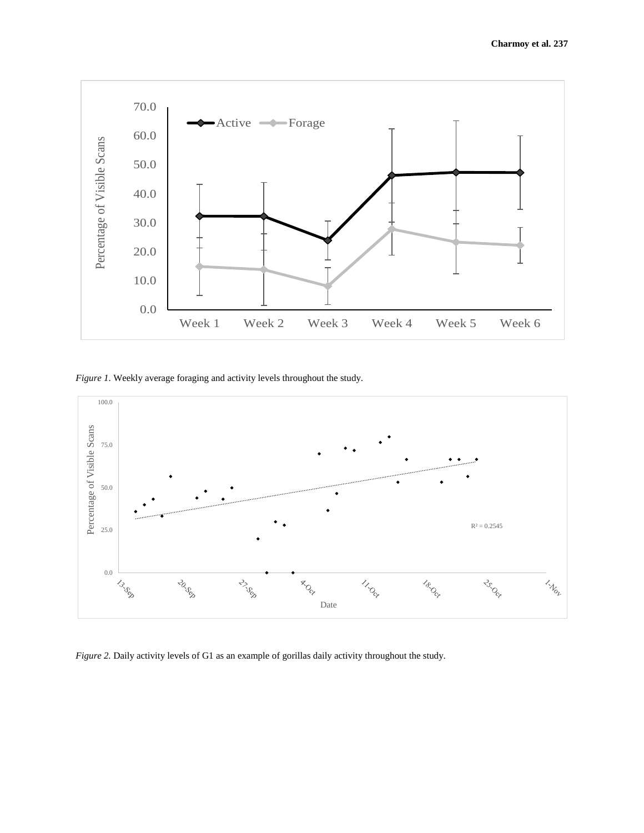

*Figure 1*. Weekly average foraging and activity levels throughout the study.



*Figure 2.* Daily activity levels of G1 as an example of gorillas daily activity throughout the study.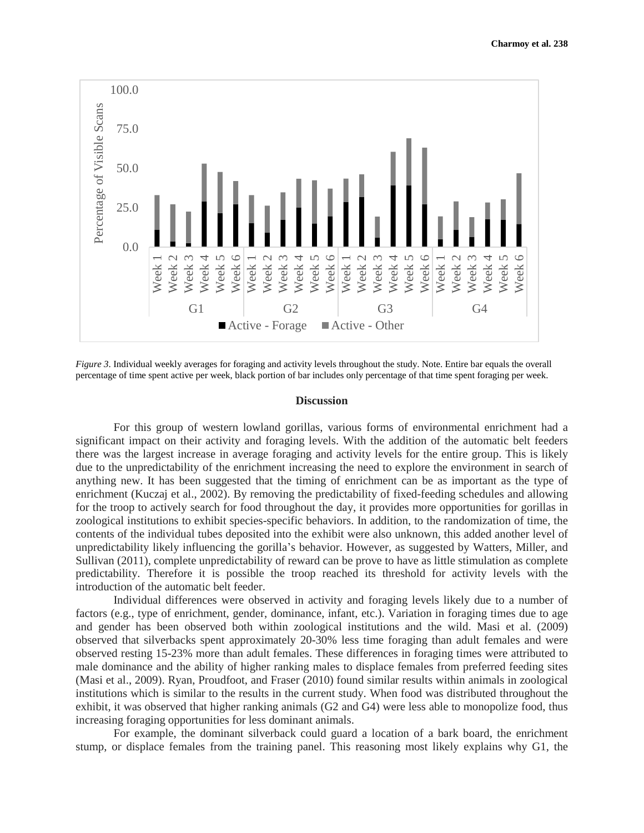

*Figure 3*. Individual weekly averages for foraging and activity levels throughout the study. Note. Entire bar equals the overall percentage of time spent active per week, black portion of bar includes only percentage of that time spent foraging per week.

#### **Discussion**

For this group of western lowland gorillas, various forms of environmental enrichment had a significant impact on their activity and foraging levels. With the addition of the automatic belt feeders there was the largest increase in average foraging and activity levels for the entire group. This is likely due to the unpredictability of the enrichment increasing the need to explore the environment in search of anything new. It has been suggested that the timing of enrichment can be as important as the type of enrichment (Kuczaj et al., 2002). By removing the predictability of fixed-feeding schedules and allowing for the troop to actively search for food throughout the day, it provides more opportunities for gorillas in zoological institutions to exhibit species-specific behaviors. In addition, to the randomization of time, the contents of the individual tubes deposited into the exhibit were also unknown, this added another level of unpredictability likely influencing the gorilla's behavior. However, as suggested by Watters, Miller, and Sullivan (2011), complete unpredictability of reward can be prove to have as little stimulation as complete predictability. Therefore it is possible the troop reached its threshold for activity levels with the introduction of the automatic belt feeder.

Individual differences were observed in activity and foraging levels likely due to a number of factors (e.g., type of enrichment, gender, dominance, infant, etc.). Variation in foraging times due to age and gender has been observed both within zoological institutions and the wild. Masi et al. (2009) observed that silverbacks spent approximately 20-30% less time foraging than adult females and were observed resting 15-23% more than adult females. These differences in foraging times were attributed to male dominance and the ability of higher ranking males to displace females from preferred feeding sites (Masi et al., 2009). Ryan, Proudfoot, and Fraser (2010) found similar results within animals in zoological institutions which is similar to the results in the current study. When food was distributed throughout the exhibit, it was observed that higher ranking animals (G2 and G4) were less able to monopolize food, thus increasing foraging opportunities for less dominant animals.

For example, the dominant silverback could guard a location of a bark board, the enrichment stump, or displace females from the training panel. This reasoning most likely explains why G1, the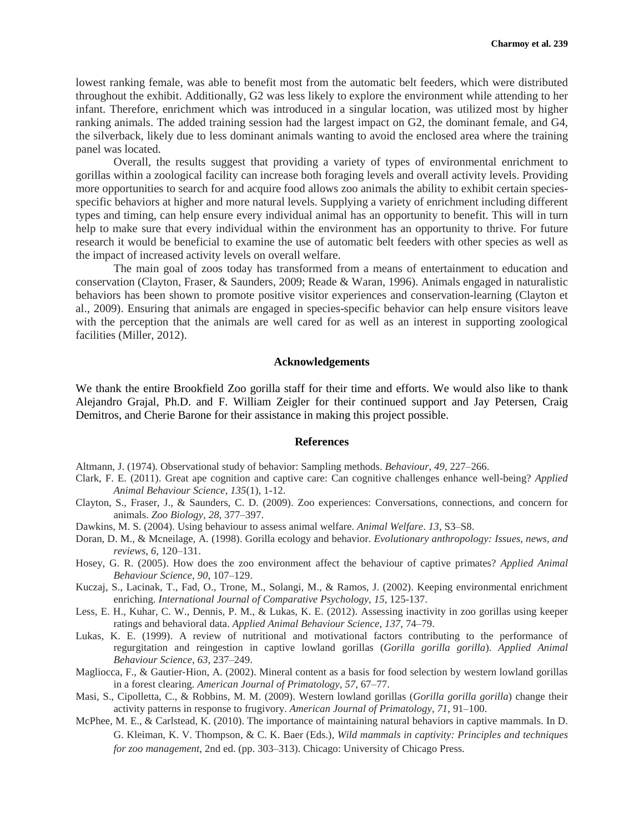lowest ranking female, was able to benefit most from the automatic belt feeders, which were distributed throughout the exhibit. Additionally, G2 was less likely to explore the environment while attending to her infant. Therefore, enrichment which was introduced in a singular location, was utilized most by higher ranking animals. The added training session had the largest impact on G2, the dominant female, and G4, the silverback, likely due to less dominant animals wanting to avoid the enclosed area where the training panel was located.

Overall, the results suggest that providing a variety of types of environmental enrichment to gorillas within a zoological facility can increase both foraging levels and overall activity levels. Providing more opportunities to search for and acquire food allows zoo animals the ability to exhibit certain speciesspecific behaviors at higher and more natural levels. Supplying a variety of enrichment including different types and timing, can help ensure every individual animal has an opportunity to benefit. This will in turn help to make sure that every individual within the environment has an opportunity to thrive. For future research it would be beneficial to examine the use of automatic belt feeders with other species as well as the impact of increased activity levels on overall welfare.

The main goal of zoos today has transformed from a means of entertainment to education and conservation (Clayton, Fraser, & Saunders, 2009; Reade & Waran, 1996). Animals engaged in naturalistic behaviors has been shown to promote positive visitor experiences and conservation-learning (Clayton et al., 2009). Ensuring that animals are engaged in species-specific behavior can help ensure visitors leave with the perception that the animals are well cared for as well as an interest in supporting zoological facilities (Miller, 2012).

#### **Acknowledgements**

We thank the entire Brookfield Zoo gorilla staff for their time and efforts. We would also like to thank Alejandro Grajal, Ph.D. and F. William Zeigler for their continued support and Jay Petersen, Craig Demitros, and Cherie Barone for their assistance in making this project possible.

#### **References**

- Altmann, J. (1974). Observational study of behavior: Sampling methods. *Behaviour*, *49*, 227–266.
- Clark, F. E. (2011). Great ape cognition and captive care: Can cognitive challenges enhance well-being? *Applied Animal Behaviour Science*, *135*(1), 1-12.
- Clayton, S., Fraser, J., & Saunders, C. D. (2009). Zoo experiences: Conversations, connections, and concern for animals. *Zoo Biology*, *28*, 377–397.
- Dawkins, M. S. (2004). Using behaviour to assess animal welfare. *Animal Welfare*. *13*, S3–S8.
- Doran, D. M., & Mcneilage, A. (1998). Gorilla ecology and behavior. *Evolutionary anthropology: Issues, news, and reviews*, *6*, 120–131.
- Hosey, G. R. (2005). How does the zoo environment affect the behaviour of captive primates? *Applied Animal Behaviour Science*, *90*, 107–129.
- Kuczaj, S., Lacinak, T., Fad, O., Trone, M., Solangi, M., & Ramos, J. (2002). Keeping environmental enrichment enriching. *International Journal of Comparative Psychology*, *15*, 125-137.
- Less, E. H., Kuhar, C. W., Dennis, P. M., & Lukas, K. E. (2012). Assessing inactivity in zoo gorillas using keeper ratings and behavioral data. *Applied Animal Behaviour Science*, *137*, 74–79.
- Lukas, K. E. (1999). A review of nutritional and motivational factors contributing to the performance of regurgitation and reingestion in captive lowland gorillas (*Gorilla gorilla gorilla*). *Applied Animal Behaviour Science*, *63,* 237–249.
- Magliocca, F., & Gautier-Hion, A. (2002). Mineral content as a basis for food selection by western lowland gorillas in a forest clearing. *American Journal of Primatology*, *57*, 67–77.
- Masi, S., Cipolletta, C., & Robbins, M. M. (2009). Western lowland gorillas (*Gorilla gorilla gorilla*) change their activity patterns in response to frugivory. *American Journal of Primatology*, *71*, 91–100.
- McPhee, M. E., & Carlstead, K. (2010). The importance of maintaining natural behaviors in captive mammals. In D. G. Kleiman, K. V. Thompson, & C. K. Baer (Eds.), *Wild mammals in captivity: Principles and techniques for zoo management*, 2nd ed. (pp. 303–313). Chicago: University of Chicago Press.